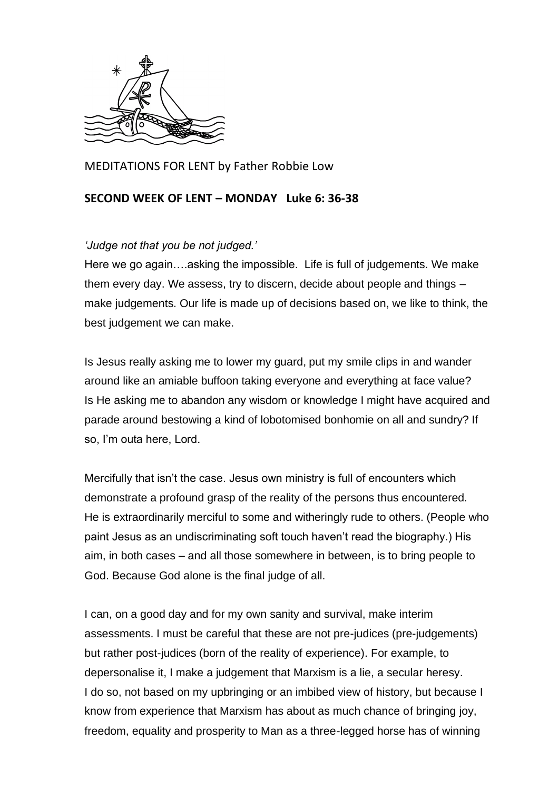

MEDITATIONS FOR LENT by Father Robbie Low

## **SECOND WEEK OF LENT – MONDAY Luke 6: 36-38**

## *'Judge not that you be not judged.'*

Here we go again….asking the impossible. Life is full of judgements. We make them every day. We assess, try to discern, decide about people and things – make judgements. Our life is made up of decisions based on, we like to think, the best judgement we can make.

Is Jesus really asking me to lower my guard, put my smile clips in and wander around like an amiable buffoon taking everyone and everything at face value? Is He asking me to abandon any wisdom or knowledge I might have acquired and parade around bestowing a kind of lobotomised bonhomie on all and sundry? If so, I'm outa here, Lord.

Mercifully that isn't the case. Jesus own ministry is full of encounters which demonstrate a profound grasp of the reality of the persons thus encountered. He is extraordinarily merciful to some and witheringly rude to others. (People who paint Jesus as an undiscriminating soft touch haven't read the biography.) His aim, in both cases – and all those somewhere in between, is to bring people to God. Because God alone is the final judge of all.

I can, on a good day and for my own sanity and survival, make interim assessments. I must be careful that these are not pre-judices (pre-judgements) but rather post-judices (born of the reality of experience). For example, to depersonalise it, I make a judgement that Marxism is a lie, a secular heresy. I do so, not based on my upbringing or an imbibed view of history, but because I know from experience that Marxism has about as much chance of bringing joy, freedom, equality and prosperity to Man as a three-legged horse has of winning